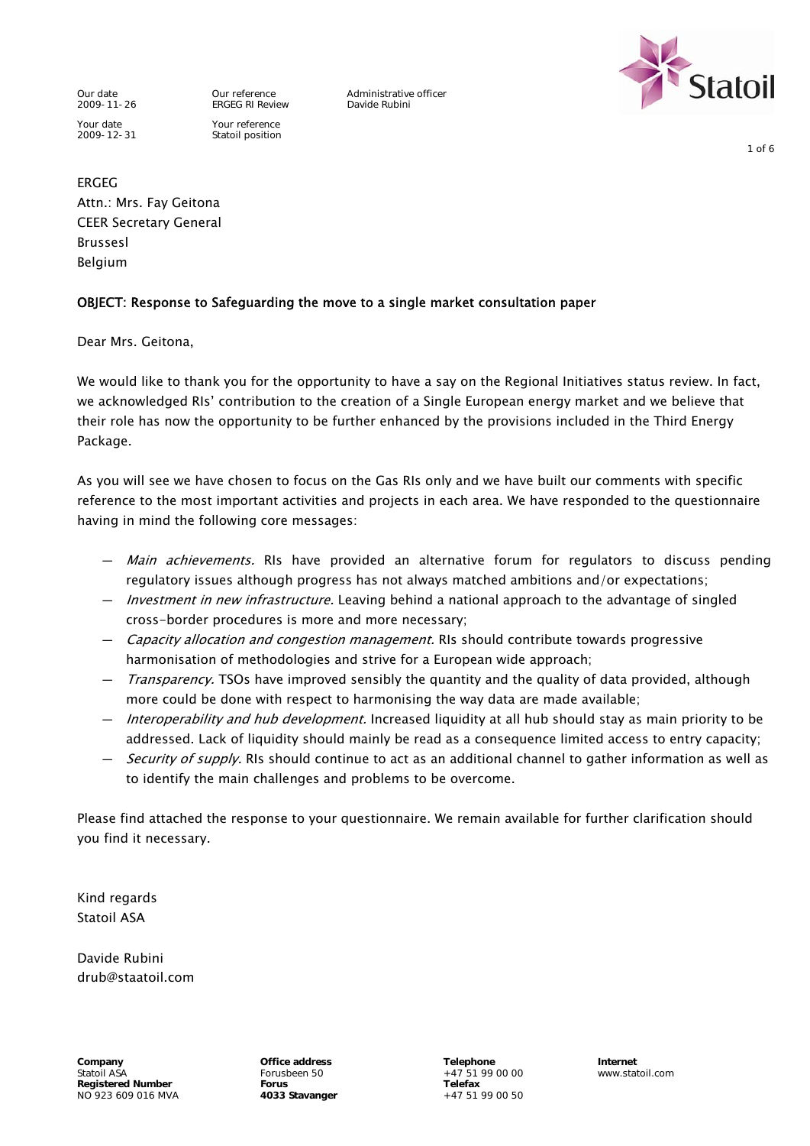2009-11-26 ERGEG RI Review Davide Rubini Your date Your reference 2009-12-31 Statoil position

Our date **Our reference** Administrative officer<br>
2009-11-26 FRGEG RI Review Davide Rubini



1 of 6

ERGEG Attn.: Mrs. Fay Geitona CEER Secretary General Brussesl Belgium

#### OBJECT: Response to Safeguarding the move to a single market consultation paper

Dear Mrs. Geitona,

We would like to thank you for the opportunity to have a say on the Regional Initiatives status review. In fact, we acknowledged RIs' contribution to the creation of a Single European energy market and we believe that their role has now the opportunity to be further enhanced by the provisions included in the Third Energy Package.

As you will see we have chosen to focus on the Gas RIs only and we have built our comments with specific reference to the most important activities and projects in each area. We have responded to the questionnaire having in mind the following core messages:

- *Main achievements*. RIs have provided an alternative forum for regulators to discuss pending regulatory issues although progress has not always matched ambitions and/or expectations;
- Investment in new infrastructure. Leaving behind a national approach to the advantage of singled cross-border procedures is more and more necessary;
- *Capacity allocation and congestion management*. RIs should contribute towards progressive harmonisation of methodologies and strive for a European wide approach;
- *Transparency*. TSOs have improved sensibly the quantity and the quality of data provided, although more could be done with respect to harmonising the way data are made available;
- Interoperability and hub development. Increased liquidity at all hub should stay as main priority to be addressed. Lack of liquidity should mainly be read as a consequence limited access to entry capacity;
- Security of supply. RIs should continue to act as an additional channel to gather information as well as to identify the main challenges and problems to be overcome.

Please find attached the response to your questionnaire. We remain available for further clarification should you find it necessary.

Kind regards Statoil ASA

Davide Rubini drub@staatoil.com

**Company Office address Telephone Internet** Statoil ASA **Forusbeen 50** +47 51 99 00 00 www.statoil.com<br>
Registered Number **Forus** Forus **Forus** Telefax Registered Number<br>
NO 923 609 016 MVA<br> **AO 923 Stavanger** 
Here are the HO 4033 Stavanger<br>
Here are the HO 4033 Stavanger<br>
HO 923 609 016 MVA  $N$ <sup>923</sup> 609 016 MVA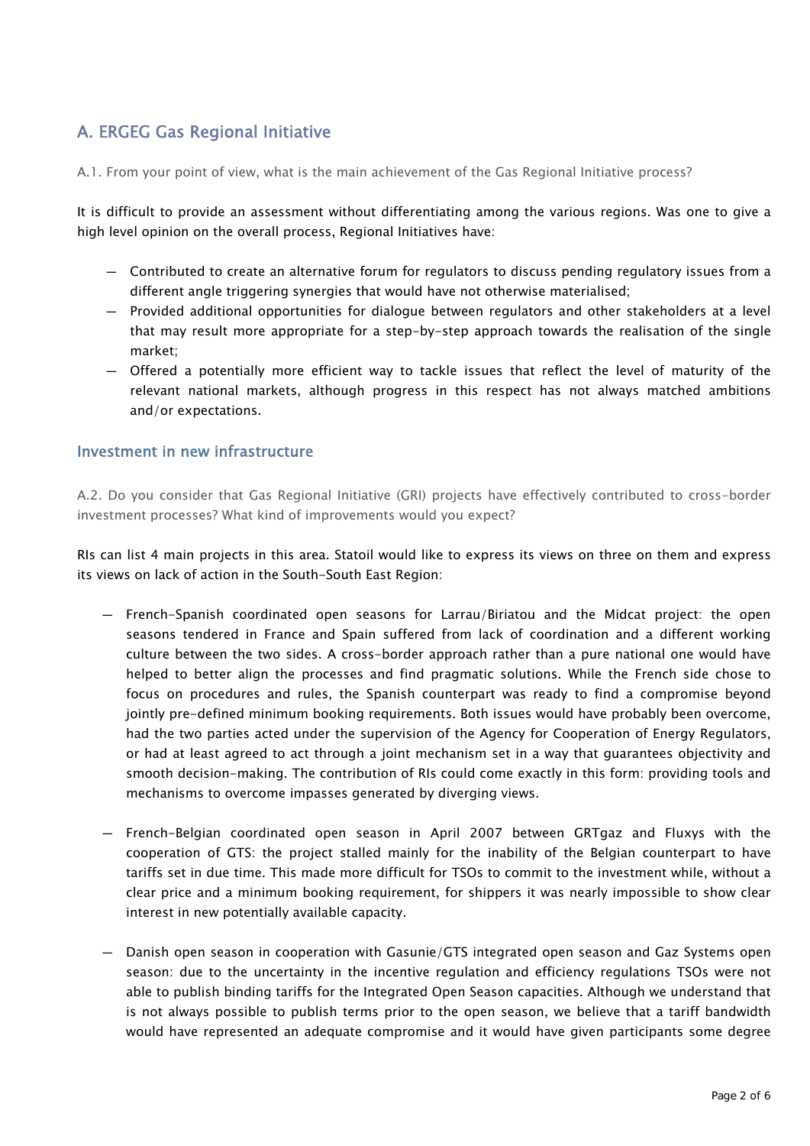# A. ERGEG Gas Regional Initiative

A.1. From your point of view, what is the main achievement of the Gas Regional Initiative process?

It is difficult to provide an assessment without differentiating among the various regions. Was one to give a high level opinion on the overall process, Regional Initiatives have:

- Contributed to create an alternative forum for regulators to discuss pending regulatory issues from a different angle triggering synergies that would have not otherwise materialised;
- Provided additional opportunities for dialogue between regulators and other stakeholders at a level that may result more appropriate for a step-by-step approach towards the realisation of the single market;
- Offered a potentially more efficient way to tackle issues that reflect the level of maturity of the relevant national markets, although progress in this respect has not always matched ambitions and/or expectations.

## Investment in new infrastructure

A.2. Do you consider that Gas Regional Initiative (GRI) projects have effectively contributed to cross-border investment processes? What kind of improvements would you expect?

RIs can list 4 main projects in this area. Statoil would like to express its views on three on them and express its views on lack of action in the South-South East Region:

- French-Spanish coordinated open seasons for Larrau/Biriatou and the Midcat project: the open seasons tendered in France and Spain suffered from lack of coordination and a different working culture between the two sides. A cross-border approach rather than a pure national one would have helped to better align the processes and find pragmatic solutions. While the French side chose to focus on procedures and rules, the Spanish counterpart was ready to find a compromise beyond jointly pre-defined minimum booking requirements. Both issues would have probably been overcome, had the two parties acted under the supervision of the Agency for Cooperation of Energy Regulators, or had at least agreed to act through a joint mechanism set in a way that guarantees objectivity and smooth decision-making. The contribution of RIs could come exactly in this form: providing tools and mechanisms to overcome impasses generated by diverging views.
- French-Belgian coordinated open season in April 2007 between GRTgaz and Fluxys with the cooperation of GTS: the project stalled mainly for the inability of the Belgian counterpart to have tariffs set in due time. This made more difficult for TSOs to commit to the investment while, without a clear price and a minimum booking requirement, for shippers it was nearly impossible to show clear interest in new potentially available capacity.
- Danish open season in cooperation with Gasunie/GTS integrated open season and Gaz Systems open season: due to the uncertainty in the incentive regulation and efficiency regulations TSOs were not able to publish binding tariffs for the Integrated Open Season capacities. Although we understand that is not always possible to publish terms prior to the open season, we believe that a tariff bandwidth would have represented an adequate compromise and it would have given participants some degree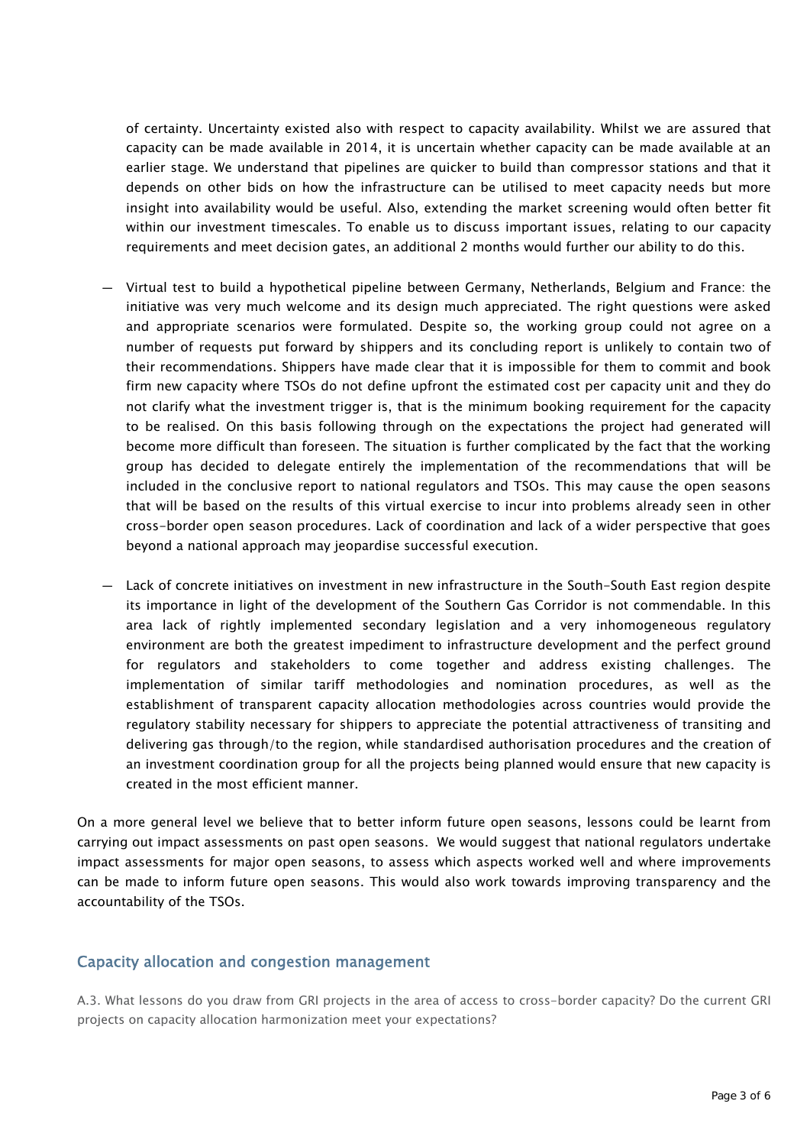of certainty. Uncertainty existed also with respect to capacity availability. Whilst we are assured that capacity can be made available in 2014, it is uncertain whether capacity can be made available at an earlier stage. We understand that pipelines are quicker to build than compressor stations and that it depends on other bids on how the infrastructure can be utilised to meet capacity needs but more insight into availability would be useful. Also, extending the market screening would often better fit within our investment timescales. To enable us to discuss important issues, relating to our capacity requirements and meet decision gates, an additional 2 months would further our ability to do this.

- Virtual test to build a hypothetical pipeline between Germany, Netherlands, Belgium and France: the initiative was very much welcome and its design much appreciated. The right questions were asked and appropriate scenarios were formulated. Despite so, the working group could not agree on a number of requests put forward by shippers and its concluding report is unlikely to contain two of their recommendations. Shippers have made clear that it is impossible for them to commit and book firm new capacity where TSOs do not define upfront the estimated cost per capacity unit and they do not clarify what the investment trigger is, that is the minimum booking requirement for the capacity to be realised. On this basis following through on the expectations the project had generated will become more difficult than foreseen. The situation is further complicated by the fact that the working group has decided to delegate entirely the implementation of the recommendations that will be included in the conclusive report to national regulators and TSOs. This may cause the open seasons that will be based on the results of this virtual exercise to incur into problems already seen in other cross-border open season procedures. Lack of coordination and lack of a wider perspective that goes beyond a national approach may jeopardise successful execution.
- Lack of concrete initiatives on investment in new infrastructure in the South-South East region despite its importance in light of the development of the Southern Gas Corridor is not commendable. In this area lack of rightly implemented secondary legislation and a very inhomogeneous regulatory environment are both the greatest impediment to infrastructure development and the perfect ground for regulators and stakeholders to come together and address existing challenges. The implementation of similar tariff methodologies and nomination procedures, as well as the establishment of transparent capacity allocation methodologies across countries would provide the regulatory stability necessary for shippers to appreciate the potential attractiveness of transiting and delivering gas through/to the region, while standardised authorisation procedures and the creation of an investment coordination group for all the projects being planned would ensure that new capacity is created in the most efficient manner.

On a more general level we believe that to better inform future open seasons, lessons could be learnt from carrying out impact assessments on past open seasons. We would suggest that national regulators undertake impact assessments for major open seasons, to assess which aspects worked well and where improvements can be made to inform future open seasons. This would also work towards improving transparency and the accountability of the TSOs.

#### Capacity allocation and congestion management

A.3. What lessons do you draw from GRI projects in the area of access to cross-border capacity? Do the current GRI projects on capacity allocation harmonization meet your expectations?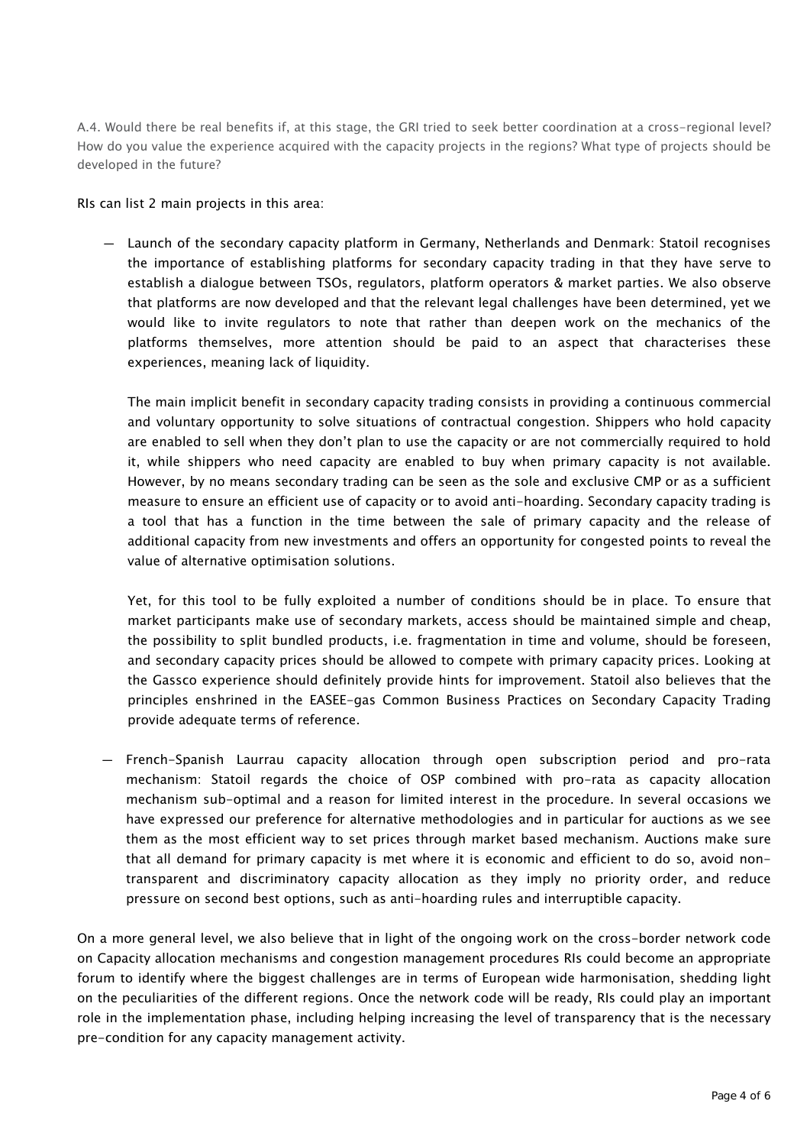A.4. Would there be real benefits if, at this stage, the GRI tried to seek better coordination at a cross-regional level? How do you value the experience acquired with the capacity projects in the regions? What type of projects should be developed in the future?

RIs can list 2 main projects in this area:

— Launch of the secondary capacity platform in Germany, Netherlands and Denmark: Statoil recognises the importance of establishing platforms for secondary capacity trading in that they have serve to establish a dialogue between TSOs, regulators, platform operators & market parties. We also observe that platforms are now developed and that the relevant legal challenges have been determined, yet we would like to invite regulators to note that rather than deepen work on the mechanics of the platforms themselves, more attention should be paid to an aspect that characterises these experiences, meaning lack of liquidity.

The main implicit benefit in secondary capacity trading consists in providing a continuous commercial and voluntary opportunity to solve situations of contractual congestion. Shippers who hold capacity are enabled to sell when they don't plan to use the capacity or are not commercially required to hold it, while shippers who need capacity are enabled to buy when primary capacity is not available. However, by no means secondary trading can be seen as the sole and exclusive CMP or as a sufficient measure to ensure an efficient use of capacity or to avoid anti-hoarding. Secondary capacity trading is a tool that has a function in the time between the sale of primary capacity and the release of additional capacity from new investments and offers an opportunity for congested points to reveal the value of alternative optimisation solutions.

Yet, for this tool to be fully exploited a number of conditions should be in place. To ensure that market participants make use of secondary markets, access should be maintained simple and cheap, the possibility to split bundled products, i.e. fragmentation in time and volume, should be foreseen, and secondary capacity prices should be allowed to compete with primary capacity prices. Looking at the Gassco experience should definitely provide hints for improvement. Statoil also believes that the principles enshrined in the EASEE-gas Common Business Practices on Secondary Capacity Trading provide adequate terms of reference.

— French-Spanish Laurrau capacity allocation through open subscription period and pro-rata mechanism: Statoil regards the choice of OSP combined with pro-rata as capacity allocation mechanism sub-optimal and a reason for limited interest in the procedure. In several occasions we have expressed our preference for alternative methodologies and in particular for auctions as we see them as the most efficient way to set prices through market based mechanism. Auctions make sure that all demand for primary capacity is met where it is economic and efficient to do so, avoid nontransparent and discriminatory capacity allocation as they imply no priority order, and reduce pressure on second best options, such as anti-hoarding rules and interruptible capacity.

On a more general level, we also believe that in light of the ongoing work on the cross-border network code on Capacity allocation mechanisms and congestion management procedures RIs could become an appropriate forum to identify where the biggest challenges are in terms of European wide harmonisation, shedding light on the peculiarities of the different regions. Once the network code will be ready, RIs could play an important role in the implementation phase, including helping increasing the level of transparency that is the necessary pre-condition for any capacity management activity.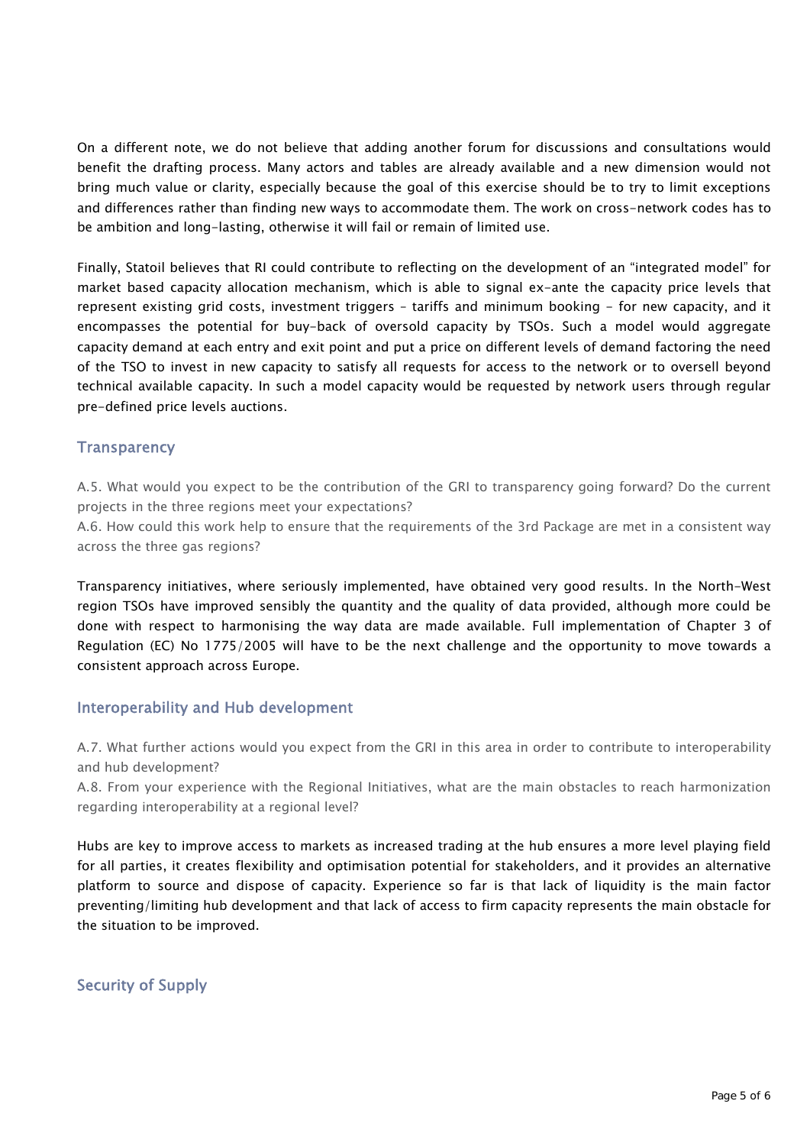On a different note, we do not believe that adding another forum for discussions and consultations would benefit the drafting process. Many actors and tables are already available and a new dimension would not bring much value or clarity, especially because the goal of this exercise should be to try to limit exceptions and differences rather than finding new ways to accommodate them. The work on cross-network codes has to be ambition and long-lasting, otherwise it will fail or remain of limited use.

Finally, Statoil believes that RI could contribute to reflecting on the development of an "integrated model" for market based capacity allocation mechanism, which is able to signal ex-ante the capacity price levels that represent existing grid costs, investment triggers – tariffs and minimum booking - for new capacity, and it encompasses the potential for buy-back of oversold capacity by TSOs. Such a model would aggregate capacity demand at each entry and exit point and put a price on different levels of demand factoring the need of the TSO to invest in new capacity to satisfy all requests for access to the network or to oversell beyond technical available capacity. In such a model capacity would be requested by network users through regular pre-defined price levels auctions.

# **Transparency**

A.5. What would you expect to be the contribution of the GRI to transparency going forward? Do the current projects in the three regions meet your expectations?

A.6. How could this work help to ensure that the requirements of the 3rd Package are met in a consistent way across the three gas regions?

Transparency initiatives, where seriously implemented, have obtained very good results. In the North-West region TSOs have improved sensibly the quantity and the quality of data provided, although more could be done with respect to harmonising the way data are made available. Full implementation of Chapter 3 of Regulation (EC) No 1775/2005 will have to be the next challenge and the opportunity to move towards a consistent approach across Europe.

### Interoperability and Hub development

A.7. What further actions would you expect from the GRI in this area in order to contribute to interoperability and hub development?

A.8. From your experience with the Regional Initiatives, what are the main obstacles to reach harmonization regarding interoperability at a regional level?

Hubs are key to improve access to markets as increased trading at the hub ensures a more level playing field for all parties, it creates flexibility and optimisation potential for stakeholders, and it provides an alternative platform to source and dispose of capacity. Experience so far is that lack of liquidity is the main factor preventing/limiting hub development and that lack of access to firm capacity represents the main obstacle for the situation to be improved.

Security of Supply